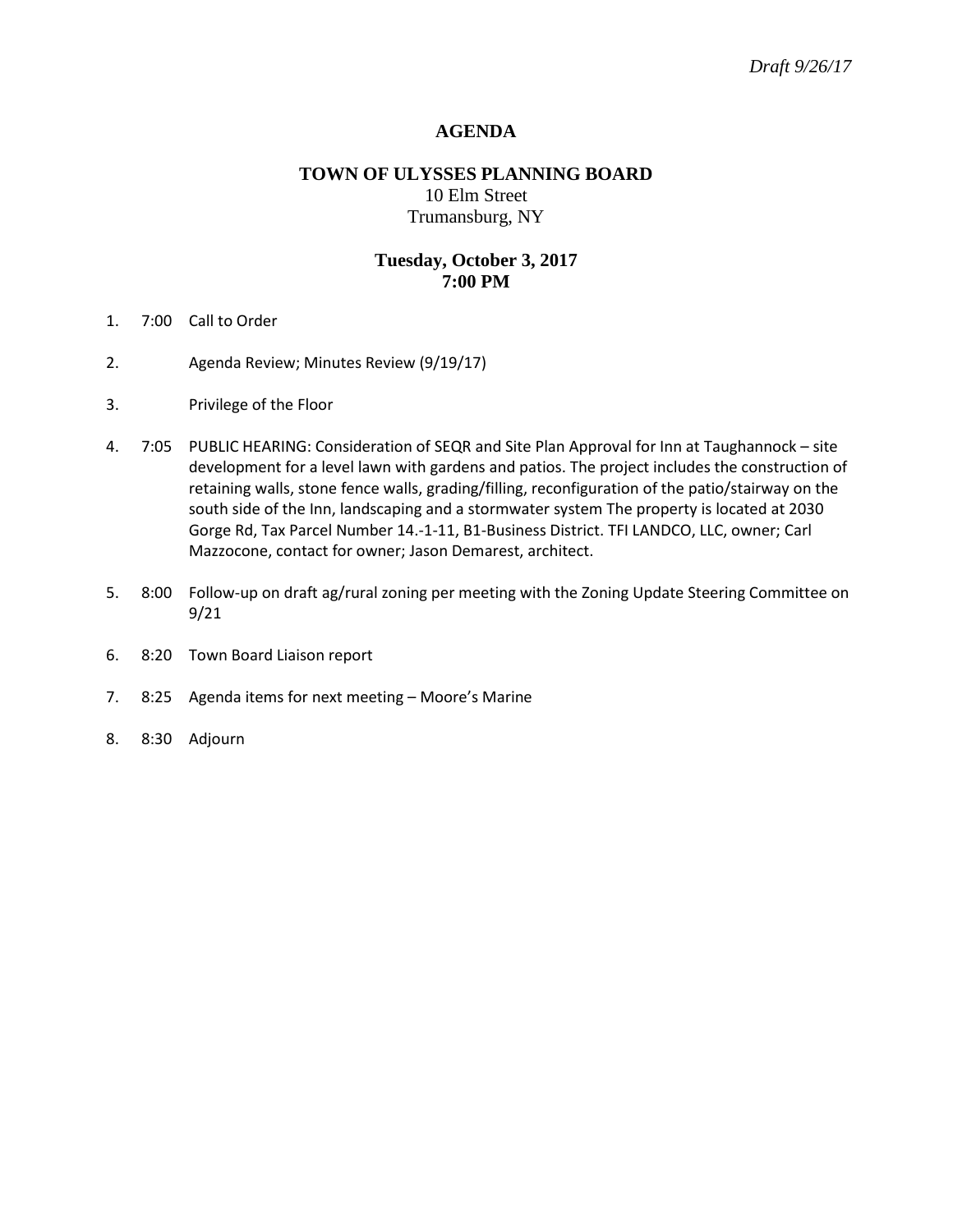# **AGENDA**

# **TOWN OF ULYSSES PLANNING BOARD** 10 Elm Street Trumansburg, NY

## **Tuesday, October 3, 2017 7:00 PM**

- 1. 7:00 Call to Order
- 2. Agenda Review; Minutes Review (9/19/17)
- 3. Privilege of the Floor
- 4. 7:05 PUBLIC HEARING: Consideration of SEQR and Site Plan Approval for Inn at Taughannock site development for a level lawn with gardens and patios. The project includes the construction of retaining walls, stone fence walls, grading/filling, reconfiguration of the patio/stairway on the south side of the Inn, landscaping and a stormwater system The property is located at 2030 Gorge Rd, Tax Parcel Number 14.-1-11, B1-Business District. TFI LANDCO, LLC, owner; Carl Mazzocone, contact for owner; Jason Demarest, architect.
- 5. 8:00 Follow-up on draft ag/rural zoning per meeting with the Zoning Update Steering Committee on 9/21
- 6. 8:20 Town Board Liaison report
- 7. 8:25 Agenda items for next meeting Moore's Marine
- 8. 8:30 Adjourn